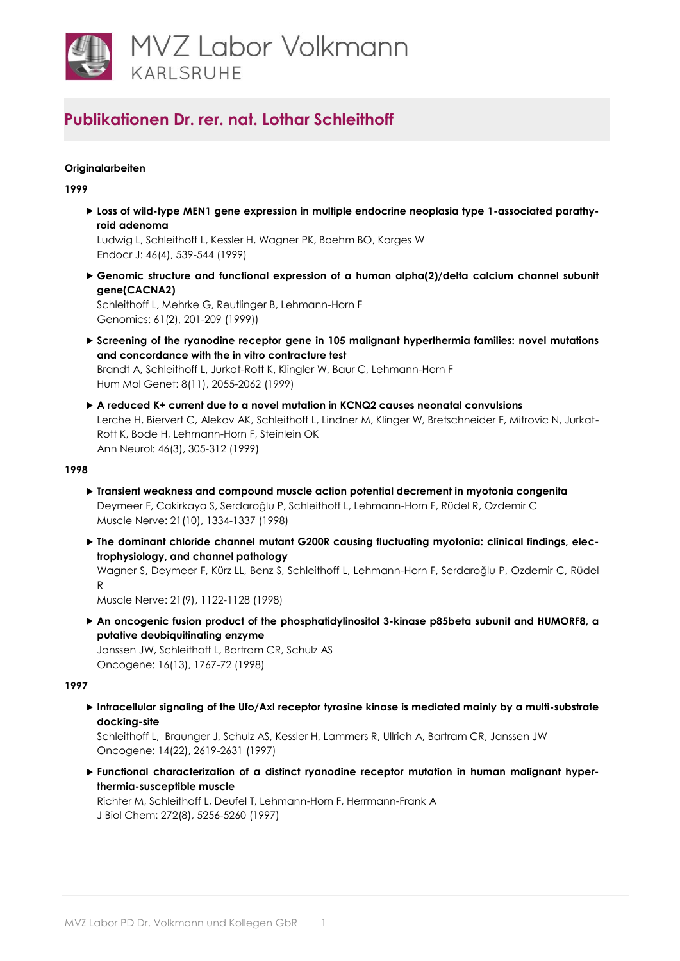

# **Publikationen Dr. rer. nat. Lothar Schleithoff**

## **Originalarbeiten**

**1999**

**Loss of wild-type MEN1 gene expression in multiple endocrine neoplasia type 1-associated parathyroid adenoma**

Ludwig L, Schleithoff L, Kessler H, Wagner PK, Boehm BO, Karges W Endocr J: 46(4), 539-544 (1999)

 **Genomic structure and functional expression of a human alpha(2)/delta calcium channel subunit gene(CACNA2)**

Schleithoff L, Mehrke G, Reutlinger B, Lehmann-Horn F Genomics: 61(2), 201-209 (1999))

- **Screening of the ryanodine receptor gene in 105 malignant hyperthermia families: novel mutations and concordance with the in vitro contracture test** Brandt A, Schleithoff L, Jurkat-Rott K, Klingler W, Baur C, Lehmann-Horn F Hum Mol Genet: 8(11), 2055-2062 (1999)
- **A reduced K+ current due to a novel mutation in KCNQ2 causes neonatal convulsions** Lerche H, Biervert C, Alekov AK, Schleithoff L, Lindner M, Klinger W, Bretschneider F, Mitrovic N, Jurkat-Rott K, Bode H, Lehmann-Horn F, Steinlein OK Ann Neurol: 46(3), 305-312 (1999)

## **1998**

- **Transient weakness and compound muscle action potential decrement in myotonia congenita** Deymeer F, Cakirkaya S, Serdaroğlu P, Schleithoff L, Lehmann-Horn F, Rüdel R, Ozdemir C Muscle Nerve: 21(10), 1334-1337 (1998)
- ▶ The dominant chloride channel mutant G200R causing fluctuating myotonia: clinical findings, elec**trophysiology, and channel pathology** Wagner S, Deymeer F, Kürz LL, Benz S, Schleithoff L, Lehmann-Horn F, Serdaroğlu P, Ozdemir C, Rüdel R

Muscle Nerve: 21(9), 1122-1128 (1998)

 **An oncogenic fusion product of the phosphatidylinositol 3-kinase p85beta subunit and HUMORF8, a putative deubiquitinating enzyme** Janssen JW, Schleithoff L, Bartram CR, Schulz AS Oncogene: 16(13), 1767-72 (1998)

## **1997**

 **Intracellular signaling of the Ufo/Axl receptor tyrosine kinase is mediated mainly by a multi-substrate docking-site**

Schleithoff L, Braunger J, Schulz AS, Kessler H, Lammers R, Ullrich A, Bartram CR, Janssen JW Oncogene: 14(22), 2619-2631 (1997)

 **Functional characterization of a distinct ryanodine receptor mutation in human malignant hyperthermia-susceptible muscle**

Richter M, Schleithoff L, Deufel T, Lehmann-Horn F, Herrmann-Frank A J Biol Chem: 272(8), 5256-5260 (1997)